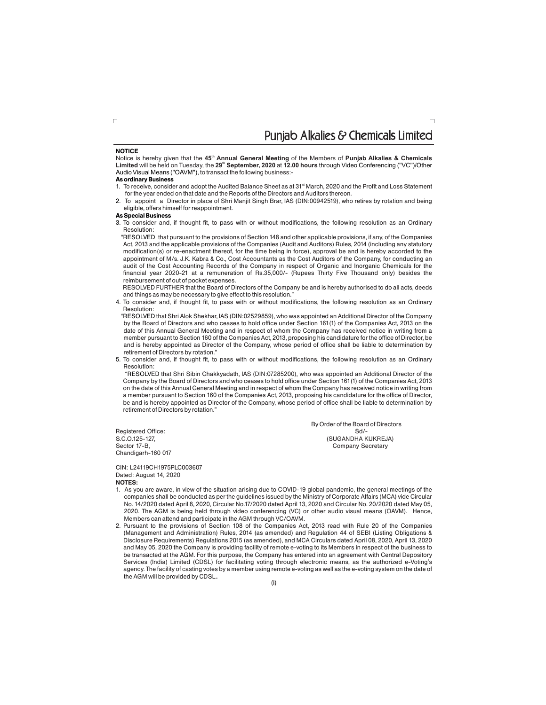#### Punjab Alkalies & Chemicals Limited

 $\overline{\phantom{0}}$ 

#### **NOTICE**

Notice is hereby given that the 45<sup>th</sup> Annual General Meeting of the Members of Punjab Alkalies & Chemicals Limited will be held on Tuesday, the 29<sup>th</sup> September, 2020 at 12.00 hours through Video Conferencing ("VC")/Other Audio Visual Means (''OAVM''), to transact the following business:-

#### **As ordinary Business**

- 1. To receive, consider and adopt the Audited Balance Sheet as at 31<sup>st</sup> March, 2020 and the Profit and Loss Statement for the year ended on that date and the Reports of the Directors and Auditors thereon.
- 2. To appoint a Director in place of Shri Manjit Singh Brar, IAS (DIN:00942519), who retires by rotation and being eligible, offers himself for reappointment.

#### **As Special Business**

3. To consider and, if thought fit, to pass with or without modifications, the following resolution as an Ordinary Resolution:

"RESOLVED that pursuant to the provisions of Section 148 and other applicable provisions, if any, of the Companies Act, 2013 and the applicable provisions of the Companies (Audit and Auditors) Rules, 2014 (including any statutory modification(s) or re-enactment thereof, for the time being in force), approval be and is hereby accorded to the appointment of M/s. J.K. Kabra & Co., Cost Accountants as the Cost Auditors of the Company, for conducting an audit of the Cost Accounting Records of the Company in respect of Organic and Inorganic Chemicals for the financial year 2020-21 at a remuneration of Rs.35,000/- (Rupees Thirty Five Thousand only) besides the reimbursement of out of pocket expenses.

RESOLVED FURTHER that the Board of Directors of the Company be and is hereby authorised to do all acts, deeds and things as may be necessary to give effect to this resolution."

4. To consider and, if thought fit, to pass with or without modifications, the following resolution as an Ordinary Resolution:

"RESOLVED that Shri Alok Shekhar, IAS (DIN:02529859), who was appointed an Additional Director of the Company by the Board of Directors and who ceases to hold office under Section 161(1) of the Companies Act, 2013 on the date of this Annual General Meeting and in respect of whom the Company has received notice in writing from a member pursuant to Section 160 of the Companies Act, 2013, proposing his candidature for the office of Director, be and is hereby appointed as Director of the Company, whose period of office shall be liable to determination by retirement of Directors by rotation."

5. To consider and, if thought fit, to pass with or without modifications, the following resolution as an Ordinary Resolution:

"RESOLVED that Shri Sibin Chakkyadath, IAS (DIN:07285200), who was appointed an Additional Director of the Company by the Board of Directors and who ceases to hold office under Section 161(1) of the Companies Act, 2013 on the date of this Annual General Meeting and in respect of whom the Company has received notice in writing from a member pursuant to Section 160 of the Companies Act, 2013, proposing his candidature for the office of Director, be and is hereby appointed as Director of the Company, whose period of office shall be liable to determination by retirement of Directors by rotation."

Registered Office:<br>S.C.O.125-127. Chandigarh-160 017

By Order of the Board of Directors Registered Office: Sales States School (Sugard School School School School School School School School (Sugard School School School School School School School School School School School School School School School School Company Secretary

CIN: L24119CH1975PLC003607 Dated: August 14, 2020 **NOTES:**

1. As you are aware, in view of the situation arising due to COVID-19 global pandemic, the general meetings of the companies shall be conducted as per the guidelines issued by the Ministry of Corporate Affairs (MCA) vide Circular No. 14/2020 dated April 8, 2020, Circular No.17/2020 dated April 13, 2020 and Circular No. 20/2020 dated May 05, 2020. The AGM is being held through video conferencing (VC) or other audio visual means (OAVM). Hence, Members can attend and participate in the AGM through VC/OAVM.

2. Pursuant to the provisions of Section 108 of the Companies Act, 2013 read with Rule 20 of the Companies (Management and Administration) Rules, 2014 (as amended) and Regulation 44 of SEBI (Listing Obligations & Disclosure Requirements) Regulations 2015 (as amended), and MCA Circulars dated April 08, 2020, April 13, 2020 and May 05, 2020 the Company is providing facility of remote e-voting to its Members in respect of the business to be transacted at the AGM. For this purpose, the Company has entered into an agreement with Central Depository Services (India) Limited (CDSL) for facilitating voting through electronic means, as the authorized e-Voting's agency. The facility of casting votes by a member using remote e-voting as well as the e-voting system on the date of the AGM will be provided by CDSL.

 $\Box$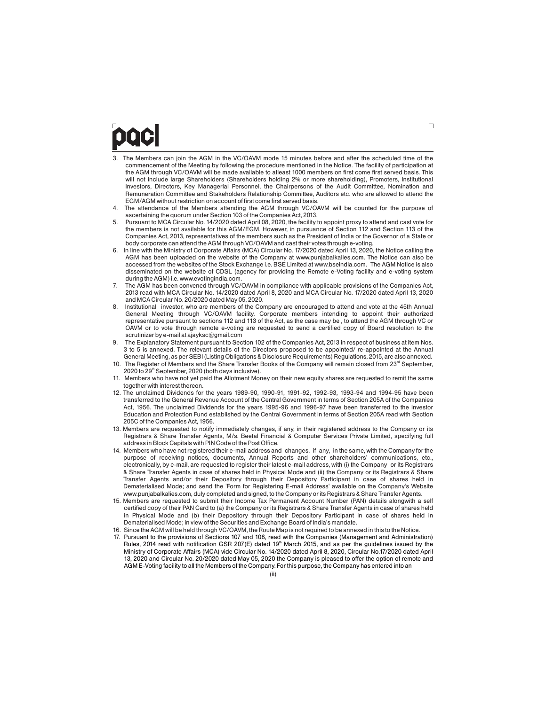# OOCI

- The Members can join the AGM in the VC/OAVM mode 15 minutes before and after the scheduled time of the commencement of the Meeting by following the procedure mentioned in the Notice. The facility of participation at the AGM through VC/OAVM will be made available to atleast 1000 members on first come first served basis. This will not include large Shareholders (Shareholders holding 2% or more shareholding), Promoters, Institutional Investors, Directors, Key Managerial Personnel, the Chairpersons of the Audit Committee, Nomination and Remuneration Committee and Stakeholders Relationship Committee, Auditors etc. who are allowed to attend the EGM/AGM without restriction on account of first come first served basis.
- 4. The attendance of the Members attending the AGM through VC/OAVM will be counted for the purpose of ascertaining the quorum under Section 103 of the Companies Act, 2013.
- 5. Pursuant to MCA Circular No. 14/2020 dated April 08, 2020, the facility to appoint proxy to attend and cast vote for the members is not available for this AGM/EGM. However, in pursuance of Section 112 and Section 113 of the Companies Act, 2013, representatives of the members such as the President of India or the Governor of a State or body corporate can attend the AGM through VC/OAVM and cast their votes through e-voting.
- 6. In line with the Ministry of Corporate Affairs (MCA) Circular No. 17/2020 dated April 13, 2020, the Notice calling the AGM has been uploaded on the website of the Company at www.punjabalkalies.com. The Notice can also be accessed from the websites of the Stock Exchange i.e. BSE Limited at www.bseindia.com. The AGM Notice is also disseminated on the website of CDSL (agency for providing the Remote e-Voting facility and e-voting system during the AGM) i.e. www.evotingindia.com.
- 7. The AGM has been convened through VC/OAVM in compliance with applicable provisions of the Companies Act, 2013 read with MCA Circular No. 14/2020 dated April 8, 2020 and MCA Circular No. 17/2020 dated April 13, 2020 and MCA Circular No. 20/2020 dated May 05, 2020.
- 8. Institutional investor, who are members of the Company are encouraged to attend and vote at the 45th Annual General Meeting through VC/OAVM facility. Corporate members intending to appoint their authorized representative pursaunt to sections 112 and 113 of the Act, as the case may be , to attend the AGM through VC or OAVM or to vote through remote e-voting are requested to send a certified copy of Board resolution to the scrutinizer by e-mail at ajayksc@gmail.com
- The Explanatory Statement pursuant to Section 102 of the Companies Act, 2013 in respect of business at item Nos. 3 to 5 is annexed. The relevant details of the Directors proposed to be appointed/ re-appointed at the Annual General Meeting, as per SEBI (Listing Obligations & Disclosure Requirements) Regulations, 2015, are also annexed.
- The Register of Members and the Share Transfer Books of the Company will remain closed from 23<sup>rd</sup> September, 2020 to  $29<sup>th</sup>$  September, 2020 (both days inclusive).
- 11. Members who have not yet paid the Allotment Money on their new equity shares are requested to remit the same together with interest thereon.
- 12. The unclaimed Dividends for the years 1989-90, 1990-91, 1991-92, 1992-93, 1993-94 and 1994-95 have been transferred to the General Revenue Account of the Central Government in terms of Section 205A of the Companies Act, 1956. The unclaimed Dividends for the years 1995-96 and 1996-97 have been transferred to the Investor Education and Protection Fund established by the Central Government in terms of Section 205A read with Section 205C of the Companies Act, 1956.
- 13. Members are requested to notify immediately changes, if any, in their registered address to the Company or its Registrars & Share Transfer Agents, M/s. Beetal Financial & Computer Services Private Limited, specifying full address in Block Capitals with PIN Code of the Post Office.
- 14. Members who have not registered their e-mail address and changes, if any, in the same, with the Company for the purpose of receiving notices, documents, Annual Reports and other shareholders' communications, etc., electronically, by e-mail, are requested to register their latest e-mail address, with (i) the Company or its Registrars & Share Transfer Agents in case of shares held in Physical Mode and (ii) the Company or its Registrars & Share Transfer Agents and/or their Depository through their Depository Participant in case of shares held in Dematerialised Mode; and send the 'Form for Registering E-mail Address' available on the Company's Website www.punjabalkalies.com, duly completed and signed, to the Company or its Registrars & Share Transfer Agents.
- 15. Members are requested to submit their Income Tax Permanent Account Number (PAN) details alongwith a self certified copy of their PAN Card to (a) the Company or its Registrars & Share Transfer Agents in case of shares held in Physical Mode and (b) their Depository through their Depository Participant in case of shares held in Dematerialised Mode; in view of the Securities and Exchange Board of India's mandate.
- 16. Since the AGM will be held through VC/OAVM, the Route Map is not required to be annexed in this to the Notice.
- 17. Pursuant to the provisions of Sections 107 and 108, read with the Companies (Management and Administration) Rules, 2014 read with notification GSR 207(E) dated 19<sup>th</sup> March 2015, and as per the guidelines issued by the Ministry of Corporate Affairs (MCA) vide Circular No. 14/2020 dated April 8, 2020, Circular No.17/2020 dated April 13, 2020 and Circular No. 20/2020 dated May 05, 2020 the Company is pleased to offer the option of remote and AGM E-Voting facility to all the Members of the Company. For this purpose, the Company has entered into an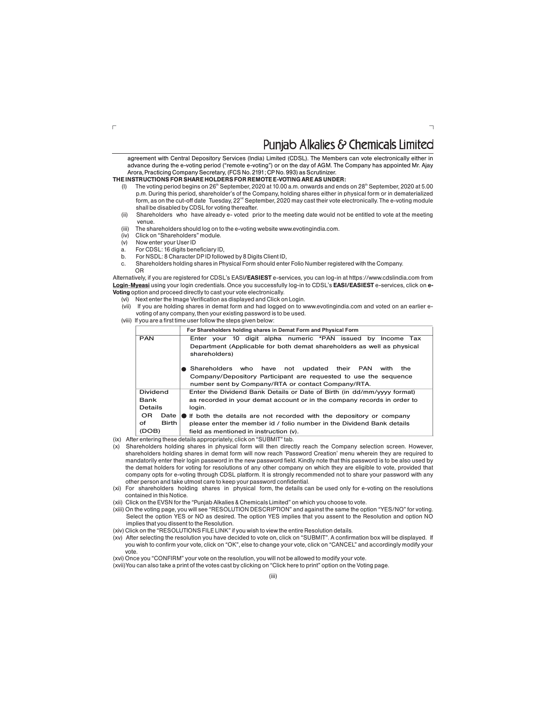### Punjab Alkalies & Chemicals Limited

 $\overline{\phantom{a}}$ 

agreement with Central Depository Services (India) Limited (CDSL). The Members can vote electronically either in advance during the e-voting period ("remote e-voting") or on the day of AGM. The Company has appointed Mr. Ajay Arora, Practicing Company Secretary, (FCS No. 2191; CP No. 993) as Scrutinizer.

#### **THE INSTRUCTIONS FOR SHARE HOLDERS FOR REMOTE E-VOTING ARE AS UNDER:**

- (I) The voting period begins on 26<sup>th</sup> September, 2020 at 10.00 a.m. onwards and ends on 28<sup>th</sup> September, 2020 at 5.00 p.m. During this period, shareholder's of the Company, holding shares either in physical form or in dematerialized form, as on the cut-off date Tuesday, 22<sup>nd</sup> September, 2020 may cast their vote electronically. The e-voting module shall be disabled by CDSL for voting thereafter.
- (ii) Shareholders who have already e- voted prior to the meeting date would not be entitled to vote at the meeting venue.
- (iii) The shareholders should log on to the e-voting website www.evotingindia.com.
- (iv) Click on "Shareholders" module.
- (v) Now enter your User ID

 $\Gamma$ 

- a. For CDSL: 16 digits beneficiary ID,
- b. For NSDL: 8 Character DP ID followed by 8 Digits Client ID,
- c. Shareholders holding shares in Physical Form should enter Folio Number registered with the Company. OR

Alternatively, if you are registered for CDSL's EASI/EASIEST e-services, you can log-in at https://www.cdslindia.com from Login-Myeasi using your login credentials. Once you successfully log-in to CDSL's EASI/EASIEST e-services, click on e-**Voting** option and proceed directly to cast your vote electronically.

- (vi) Next enter the Image Verification as displayed and Click on Login.
- (vii) If you are holding shares in demat form and had logged on to www.evotingindia.com and voted on an earlier evoting of any company, then your existing password is to be used.
- (viii) If you are a first time user follow the steps given below:

|             | For Shareholders holding shares in Demat Form and Physical Form               |  |  |  |
|-------------|-------------------------------------------------------------------------------|--|--|--|
| <b>PAN</b>  | Enter your 10 digit alpha numeric *PAN issued by Income Tax                   |  |  |  |
|             | Department (Applicable for both demat shareholders as well as physical        |  |  |  |
|             | shareholders)                                                                 |  |  |  |
|             | Shareholders who have not updated their PAN<br>with<br>the                    |  |  |  |
|             | Company/Depository Participant are requested to use the sequence              |  |  |  |
|             | number sent by Company/RTA or contact Company/RTA.                            |  |  |  |
| Dividend    | Enter the Dividend Bank Details or Date of Birth (in dd/mm/yyyy format)       |  |  |  |
| Bank        | as recorded in your demat account or in the company records in order to       |  |  |  |
| Details     | login.                                                                        |  |  |  |
| OR.<br>Date | $\bullet$ If both the details are not recorded with the depository or company |  |  |  |
| Birth<br>оf | please enter the member id / folio number in the Dividend Bank details        |  |  |  |
| (DOB)       | field as mentioned in instruction (v).                                        |  |  |  |
|             |                                                                               |  |  |  |

(ix) After entering these details appropriately, click on "SUBMIT" tab.<br>(x) Shareholders holding shares in physical form will then directly

- Shareholders holding shares in physical form will then directly reach the Company selection screen. However, shareholders holding shares in demat form will now reach 'Password Creation' menu wherein they are required to mandatorily enter their login password in the new password field. Kindly note that this password is to be also used by the demat holders for voting for resolutions of any other company on which they are eligible to vote, provided that company opts for e-voting through CDSL platform. It is strongly recommended not to share your password with any other person and take utmost care to keep your password confidential.
- (xi) For shareholders holding shares in physical form, the details can be used only for e-voting on the resolutions contained in this Notice.
- (xii) Click on the EVSN for the "Punjab Alkalies & Chemicals Limited" on which you choose to vote.
- (xiii) On the voting page, you will see "RESOLUTION DESCRIPTION" and against the same the option "YES/NO" for voting. Select the option YES or NO as desired. The option YES implies that you assent to the Resolution and option NO implies that you dissent to the Resolution.
- (xiv) Click on the "RESOLUTIONS FILE LINK" if you wish to view the entire Resolution details.
- (xv) After selecting the resolution you have decided to vote on, click on "SUBMIT". A confirmation box will be displayed. If you wish to confirm your vote, click on "OK", else to change your vote, click on "CANCEL" and accordingly modify your vote.

(xvi) Once you "CONFIRM" your vote on the resolution, you will not be allowed to modify your vote.

(xvii)You can also take a print of the votes cast by clicking on "Click here to print" option on the Voting page.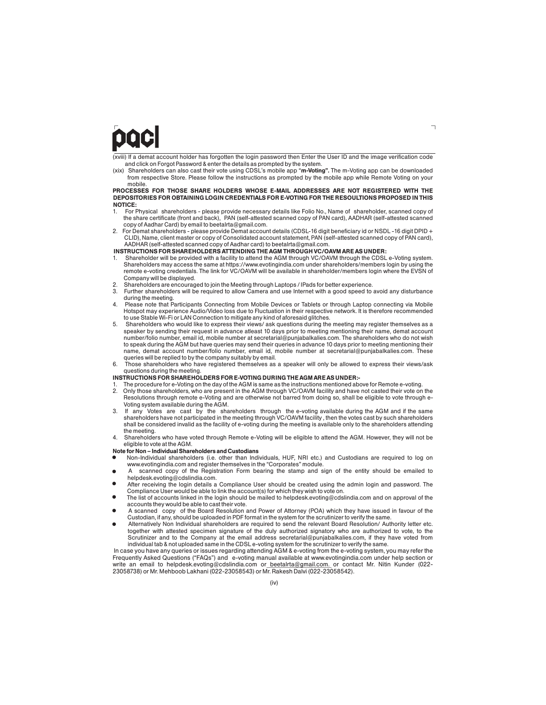(xviii) If a demat account holder has forgotten the login password then Enter the User ID and the image verification code and click on Forgot Password & enter the details as prompted by the system.

(xix) Shareholders can also cast their vote using CDSL's mobile app "m-Voting". The m-Voting app can be downloaded from respective Store. Please follow the instructions as prompted by the mobile app while Remote Voting on your mobile.

#### **PROCESSES FOR THOSE SHARE HOLDERS WHOSE E-MAIL ADDRESSES ARE NOT REGISTERED WITH THE DEPOSITORIES FOR OBTAINING LOGIN CREDENTIALS FOR E-VOTING FOR THE RESOULTIONS PROPOSED IN THIS NOTICE:**

- 1. For Physical shareholders please provide necessary details like Folio No., Name of shareholder, scanned copy of the share certificate (front and back), PAN (self-attested scanned copy of PAN card), AADHAR (self-attested scanned copy of Aadhar Card) by email to beetalrta@gmail.com.
- 2. For Demat shareholders please provide Demat account details (CDSL-16 digit beneficiary id or NSDL -16 digit DPID + CLID), Name, client master or copy of Consolidated account statement, PAN (self-attested scanned copy of PAN card), AADHAR (self-attested scanned copy of Aadhar card) to beetalrta@gmail.com.

#### **INSTRUCTIONS FOR SHAREHOLDERS ATTENDING THE AGM THROUGH VC/OAVM ARE AS UNDER:**

- 1. Shareholder will be provided with a facility to attend the AGM through VC/OAVM through the CDSL e-Voting system. Shareholders may access the same at https://www.evotingindia.com under shareholders/members login by using the remote e-voting credentials. The link for VC/OAVM will be available in shareholder/members login where the EVSN of Company will be displayed.
- 2. Shareholders are encouraged to join the Meeting through Laptops / IPads for better experience.
- 3. Further shareholders will be required to allow Camera and use Internet with a good speed to avoid any disturbance during the meeting.
- 4. Please note that Participants Connecting from Mobile Devices or Tablets or through Laptop connecting via Mobile Hotspot may experience Audio/Video loss due to Fluctuation in their respective network. It is therefore recommended to use Stable Wi-Fi or LAN Connection to mitigate any kind of aforesaid glitches.
- 5. Shareholders who would like to express their views/ ask questions during the meeting may register themselves as a speaker by sending their request in advance atleast 10 days prior to meeting mentioning their name, demat account number/folio number, email id, mobile number at secretarial@punjabalkalies.com. The shareholders who do not wish to speak during the AGM but have queries may send their queries in advance 10 days prior to meeting mentioning their name, demat account number/folio number, email id, mobile number at secretarial@punjabalkalies.com. These queries will be replied to by the company suitably by email.
- Those shareholders who have registered themselves as a speaker will only be allowed to express their views/ask questions during the meeting.

#### **INSTRUCTIONS FOR SHAREHOLDERS FOR E-VOTING DURING THE AGM ARE AS UNDER:-**

- 1. The procedure for e-Voting on the day of the AGM is same as the instructions mentioned above for Remote e-voting.
- 2. Only those shareholders, who are present in the AGM through VC/OAVM facility and have not casted their vote on the Resolutions through remote e-Voting and are otherwise not barred from doing so, shall be eligible to vote through e-Voting system available during the AGM.
- 3. If any Votes are cast by the shareholders through the e-voting available during the AGM and if the same shareholders have not participated in the meeting through VC/OAVM facility , then the votes cast by such shareholders shall be considered invalid as the facility of e-voting during the meeting is available only to the shareholders attending the meeting.
- 4. Shareholders who have voted through Remote e-Voting will be eligible to attend the AGM. However, they will not be eligible to vote at the AGM.

#### **Note for Non – Individual Shareholders and Custodians**

- ∙ Non-Individual shareholders (i.e. other than Individuals, HUF, NRI etc.) and Custodians are required to log on www.evotingindia.com and register themselves in the "Corporates" module.
- ∙ A scanned copy of the Registration Form bearing the stamp and sign of the entity should be emailed to helpdesk.evoting@cdslindia.com.
- ∙ After receiving the login details a Compliance User should be created using the admin login and password. The Compliance User would be able to link the account(s) for which they wish to vote on.
- ∙ The list of accounts linked in the login should be mailed to helpdesk.evoting@cdslindia.com and on approval of the accounts they would be able to cast their vote.
- A scanned copy of the Board Resolution and Power of Attorney (POA) which they have issued in favour of the<br>Custodian, if any, should be uploaded in PDF format in the system for the scrutinizer to verify the same.<br>Alternati
- together with attested specimen signature of the duly authorized signatory who are authorized to vote, to the Scrutinizer and to the Company at the email address secretarial@punjabalkalies.com, if they have voted from individual tab & not uploaded same in the CDSL e-voting system for the scrutinizer to verify the same.

In case you have any queries or issues regarding attending AGM & e-voting from the e-voting system, you may refer the Frequently Asked Questions ("FAQs") and e-voting manual available at www.evotingindia.com under help section or write an email to helpdesk.evoting@cdslindia.com or<u> beetalrta@gmail.com.</u> or contact Mr. Nitin Kunder (022-<br>23058738) or Mr. Mehboob Lakhani (022-23058543) or Mr. Rakesh Dalvi (022-23058542).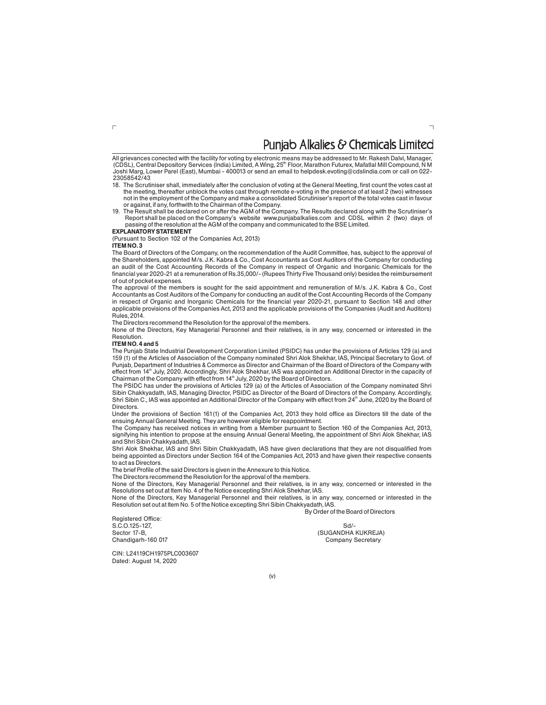## Puniab Alkalies & Chemicals Limited

All grievances conected with the facility for voting by electronic means may be addressed to Mr. Rakesh Dalvi, Manager, (CDSL), Central Depository Services (India) Limited, A Wing, 25<sup>th</sup> Floor, Marathon Futurex, Mafatlal Mill Compound, N M Joshi Marg, Lower Parel (East), Mumbai - 400013 or send an email to helpdesk.evoting@cdslindia.com or call on 022- 23058542/43

- 18. The Scrutiniser shall, immediately after the conclusion of voting at the General Meeting, first count the votes cast at the meeting, thereafter unblock the votes cast through remote e-voting in the presence of at least 2 (two) witnesses not in the employment of the Company and make a consolidated Scrutiniser's report of the total votes cast in favour or against, if any, forthwith to the Chairman of the Company.
- 19. The Result shall be declared on or after the AGM of the Company. The Results declared along with the Scrutiniser's Report shall be placed on the Company's website www.punjabalkalies.com and CDSL within 2 (two) days of passing of the resolution at the AGM of the company and communicated to the BSE Limited.

#### **EXPLANATORY STATEMENT**

(Pursuant to Section 102 of the Companies Act, 2013) **ITEM NO. 3**

The Board of Directors of the Company, on the recommendation of the Audit Committee, has, subject to the approval of the Shareholders, appointed M/s. J.K. Kabra & Co., Cost Accountants as Cost Auditors of the Company for conducting an audit of the Cost Accounting Records of the Company in respect of Organic and Inorganic Chemicals for the financial year 2020-21 at a remuneration of Rs.35,000/- (Rupees Thirty Five Thousand only) besides the reimbursement of out of pocket expenses.

The approval of the members is sought for the said appointment and remuneration of M/s. J.K. Kabra & Co., Cost Accountants as Cost Auditors of the Company for conducting an audit of the Cost Accounting Records of the Company in respect of Organic and Inorganic Chemicals for the financial year 2020-21, pursuant to Section 148 and other applicable provisions of the Companies Act, 2013 and the applicable provisions of the Companies (Audit and Auditors) Rules, 2014.

The Directors recommend the Resolution for the approval of the members.

None of the Directors, Key Managerial Personnel and their relatives, is in any way, concerned or interested in the Resolution.

**ITEM NO. 4 and 5**

The Punjab State Industrial Development Corporation Limited (PSIDC) has under the provisions of Articles 129 (a) and 159 (1) of the Articles of Association of the Company nominated Shri Alok Shekhar, IAS, Principal Secretary to Govt. of Punjab, Department of Industries & Commerce as Director and Chairman of the Board of Directors of the Company with effect from 14<sup>th</sup> July, 2020. Accordingly, Shri Alok Shekhar, IAS was appointed an Additional Director in the capacity of Chairman of the Company with effect from 14<sup>th</sup> July, 2020 by the Board of Directors.

The PSIDC has under the provisions of Articles 129 (a) of the Articles of Association of the Company nominated Shri Sibin Chakkyadath, IAS, Managing Director, PSIDC as Director of the Board of Directors of the Company. Accordingly, Shri Sibin C., IAS was appointed an Additional Director of the Company with effect from 24<sup>th</sup> June, 2020 by the Board of Directors.

Under the provisions of Section 161(1) of the Companies Act, 2013 they hold office as Directors till the date of the ensuing Annual General Meeting. They are however eligible for reappointment.

The Company has received notices in writing from a Member pursuant to Section 160 of the Companies Act, 2013, signifying his intention to propose at the ensuing Annual General Meeting, the appointment of Shri Alok Shekhar, IAS and Shri Sibin Chakkyadath, IAS.

Shri Alok Shekhar, IAS and Shri Sibin Chakkyadath, IAS have given declarations that they are not disqualified from being appointed as Directors under Section 164 of the Companies Act, 2013 and have given their respective consents to act as Directors.

The brief Profile of the said Directors is given in the Annexure to this Notice.

The Directors recommend the Resolution for the approval of the members.

None of the Directors, Key Managerial Personnel and their relatives, is in any way, concerned or interested in the Resolutions set out at Item No. 4 of the Notice excepting Shri Alok Shekhar, IAS.

None of the Directors, Key Managerial Personnel and their relatives, is in any way, concerned or interested in the Resolution set out at Item No. 5 of the Notice excepting Shri Sibin Chakkyadath, IAS.

By Order of the Board of Directors

Registered Office: S.C.O.125-127, Soll-<br>Sector 17-B Chandigarh-160 017

(SUGANDHA KUKREJA)<br>Company Secretary

CIN: L24119CH1975PLC003607 Dated: August 14, 2020

 $\Gamma$ 

 $\overline{\phantom{0}}$